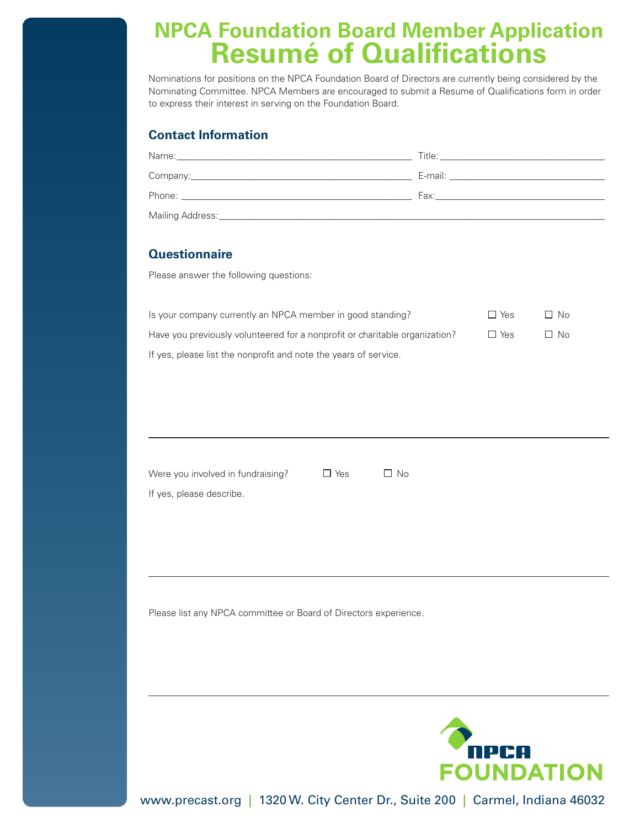# **NPCA Foundation Board Member Application Resumé of Qualifications**

Nominations for positions on the NPCA Foundation Board of Directors are currently being considered by the Nominating Committee. NPCA Members are encouraged to submit a Resume of Qualifications form in order to express their interest in serving on the Foundation Board.

## **Contact Information**

| Name:<br><u> 1980 - Jan James Sand, Amerikaansk politiker († 1908)</u> | Title:<br>the control of the control of the control of the control of the control of the control of                                                                                                                            |
|------------------------------------------------------------------------|--------------------------------------------------------------------------------------------------------------------------------------------------------------------------------------------------------------------------------|
|                                                                        | E-mail: E-mail: E-mail: E-mail: E-mail: E-mail: E-mail: E-mail: E-mail: E-mail: E-mail: E-mail: E-mail: E-mail: E-mail: E-mail: E-mail: E-mail: E-mail: E-mail: E-mail: E-mail: E-mail: E-mail: E-mail: E-mail: E-mail: E-mail |
|                                                                        | Fax: The contract of the contract of the contract of the contract of the contract of the contract of the contract of the contract of the contract of the contract of the contract of the contract of the contract of the contr |
| Mailing Address:_                                                      |                                                                                                                                                                                                                                |

### **Questionnaire**

Please answer the following questions:

| Is your company currently an NPCA member in good standing?                  | $\Box$ Yes | $\Box$ No |
|-----------------------------------------------------------------------------|------------|-----------|
| Have you previously volunteered for a nonprofit or charitable organization? | □ Yes      | $\Box$ No |
| If yes, please list the nonprofit and note the years of service.            |            |           |

Were you involved in fundraising?  $\Box$  Yes  $\Box$  No If yes, please describe.

Please list any NPCA committee or Board of Directors experience.



www.precast.org | 1320 W. City Center Dr., Suite 200 | Carmel, Indiana 46032